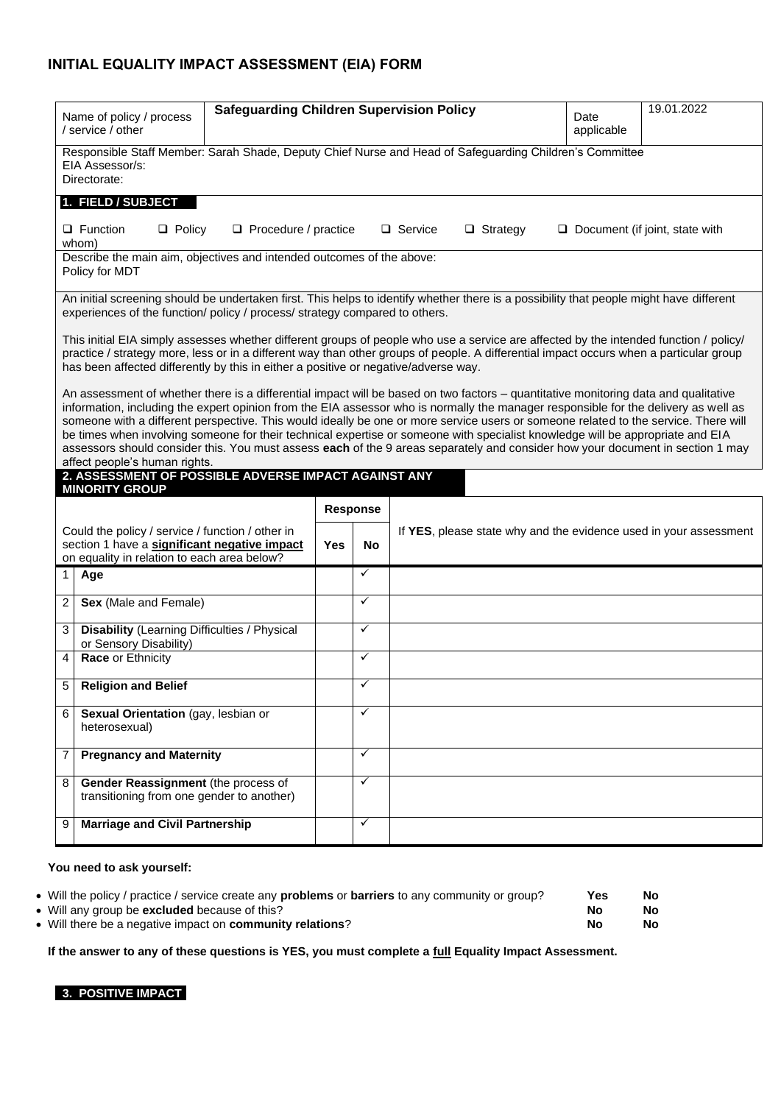### **INITIAL EQUALITY IMPACT ASSESSMENT (EIA) FORM**

| <b>Safeguarding Children Supervision Policy</b><br>Name of policy / process<br>/ service / other                                                |                                                                                                                                                                                                                                                                                                                                                                                                                                                                                                                                                                                                                                                                                                                        |                                     |    |                                                                   |                                                                                                                                                                                                                                                                                 | Date<br>applicable | 19.01.2022                            |  |
|-------------------------------------------------------------------------------------------------------------------------------------------------|------------------------------------------------------------------------------------------------------------------------------------------------------------------------------------------------------------------------------------------------------------------------------------------------------------------------------------------------------------------------------------------------------------------------------------------------------------------------------------------------------------------------------------------------------------------------------------------------------------------------------------------------------------------------------------------------------------------------|-------------------------------------|----|-------------------------------------------------------------------|---------------------------------------------------------------------------------------------------------------------------------------------------------------------------------------------------------------------------------------------------------------------------------|--------------------|---------------------------------------|--|
|                                                                                                                                                 | Responsible Staff Member: Sarah Shade, Deputy Chief Nurse and Head of Safeguarding Children's Committee<br>EIA Assessor/s:<br>Directorate:                                                                                                                                                                                                                                                                                                                                                                                                                                                                                                                                                                             |                                     |    |                                                                   |                                                                                                                                                                                                                                                                                 |                    |                                       |  |
|                                                                                                                                                 | 1. FIELD / SUBJECT                                                                                                                                                                                                                                                                                                                                                                                                                                                                                                                                                                                                                                                                                                     |                                     |    |                                                                   |                                                                                                                                                                                                                                                                                 |                    |                                       |  |
|                                                                                                                                                 | $\Box$ Function<br>$\Box$ Policy<br>whom)                                                                                                                                                                                                                                                                                                                                                                                                                                                                                                                                                                                                                                                                              | Procedure / practice                |    |                                                                   | □ Service<br>$\Box$ Strategy                                                                                                                                                                                                                                                    |                    | $\Box$ Document (if joint, state with |  |
|                                                                                                                                                 | Describe the main aim, objectives and intended outcomes of the above:<br>Policy for MDT                                                                                                                                                                                                                                                                                                                                                                                                                                                                                                                                                                                                                                |                                     |    |                                                                   |                                                                                                                                                                                                                                                                                 |                    |                                       |  |
|                                                                                                                                                 | experiences of the function/ policy / process/ strategy compared to others.                                                                                                                                                                                                                                                                                                                                                                                                                                                                                                                                                                                                                                            |                                     |    |                                                                   | An initial screening should be undertaken first. This helps to identify whether there is a possibility that people might have different                                                                                                                                         |                    |                                       |  |
|                                                                                                                                                 | has been affected differently by this in either a positive or negative/adverse way.                                                                                                                                                                                                                                                                                                                                                                                                                                                                                                                                                                                                                                    |                                     |    |                                                                   | This initial EIA simply assesses whether different groups of people who use a service are affected by the intended function / policy/<br>practice / strategy more, less or in a different way than other groups of people. A differential impact occurs when a particular group |                    |                                       |  |
|                                                                                                                                                 | An assessment of whether there is a differential impact will be based on two factors – quantitative monitoring data and qualitative<br>information, including the expert opinion from the EIA assessor who is normally the manager responsible for the delivery as well as<br>someone with a different perspective. This would ideally be one or more service users or someone related to the service. There will<br>be times when involving someone for their technical expertise or someone with specialist knowledge will be appropriate and EIA<br>assessors should consider this. You must assess each of the 9 areas separately and consider how your document in section 1 may<br>affect people's human rights. |                                     |    |                                                                   |                                                                                                                                                                                                                                                                                 |                    |                                       |  |
|                                                                                                                                                 | 2. ASSESSMENT OF POSSIBLE ADVERSE IMPACT AGAINST ANY<br><b>MINORITY GROUP</b>                                                                                                                                                                                                                                                                                                                                                                                                                                                                                                                                                                                                                                          |                                     |    |                                                                   |                                                                                                                                                                                                                                                                                 |                    |                                       |  |
|                                                                                                                                                 |                                                                                                                                                                                                                                                                                                                                                                                                                                                                                                                                                                                                                                                                                                                        |                                     |    | Response                                                          |                                                                                                                                                                                                                                                                                 |                    |                                       |  |
| Could the policy / service / function / other in<br>section 1 have a significant negative impact<br>on equality in relation to each area below? |                                                                                                                                                                                                                                                                                                                                                                                                                                                                                                                                                                                                                                                                                                                        | Yes                                 | No | If YES, please state why and the evidence used in your assessment |                                                                                                                                                                                                                                                                                 |                    |                                       |  |
| 1 <sup>1</sup>                                                                                                                                  | Age                                                                                                                                                                                                                                                                                                                                                                                                                                                                                                                                                                                                                                                                                                                    |                                     |    | $\checkmark$                                                      |                                                                                                                                                                                                                                                                                 |                    |                                       |  |
| 2                                                                                                                                               | Sex (Male and Female)                                                                                                                                                                                                                                                                                                                                                                                                                                                                                                                                                                                                                                                                                                  |                                     |    | $\checkmark$                                                      |                                                                                                                                                                                                                                                                                 |                    |                                       |  |
| 3                                                                                                                                               | <b>Disability</b> (Learning Difficulties / Physical<br>or Sensory Disability)                                                                                                                                                                                                                                                                                                                                                                                                                                                                                                                                                                                                                                          |                                     |    | $\checkmark$                                                      |                                                                                                                                                                                                                                                                                 |                    |                                       |  |
| 4                                                                                                                                               | Race or Ethnicity                                                                                                                                                                                                                                                                                                                                                                                                                                                                                                                                                                                                                                                                                                      |                                     |    | $\checkmark$                                                      |                                                                                                                                                                                                                                                                                 |                    |                                       |  |
|                                                                                                                                                 | 5 Religion and Belief                                                                                                                                                                                                                                                                                                                                                                                                                                                                                                                                                                                                                                                                                                  |                                     |    | $\checkmark$                                                      |                                                                                                                                                                                                                                                                                 |                    |                                       |  |
| 6                                                                                                                                               | Sexual Orientation (gay, lesbian or<br>heterosexual)                                                                                                                                                                                                                                                                                                                                                                                                                                                                                                                                                                                                                                                                   |                                     |    | $\checkmark$                                                      |                                                                                                                                                                                                                                                                                 |                    |                                       |  |
| $\overline{7}$                                                                                                                                  | <b>Pregnancy and Maternity</b>                                                                                                                                                                                                                                                                                                                                                                                                                                                                                                                                                                                                                                                                                         |                                     |    | $\checkmark$                                                      |                                                                                                                                                                                                                                                                                 |                    |                                       |  |
| 8                                                                                                                                               |                                                                                                                                                                                                                                                                                                                                                                                                                                                                                                                                                                                                                                                                                                                        |                                     |    |                                                                   |                                                                                                                                                                                                                                                                                 |                    |                                       |  |
|                                                                                                                                                 | transitioning from one gender to another)                                                                                                                                                                                                                                                                                                                                                                                                                                                                                                                                                                                                                                                                              | Gender Reassignment (the process of |    | $\checkmark$                                                      |                                                                                                                                                                                                                                                                                 |                    |                                       |  |

#### **You need to ask yourself:**

| • Will the policy / practice / service create any <b>problems</b> or <b>barriers</b> to any community or group? | Yes | No  |
|-----------------------------------------------------------------------------------------------------------------|-----|-----|
| • Will any group be <b>excluded</b> because of this?                                                            | No  | No. |
| • Will there be a negative impact on community relations?                                                       | No  | No. |

**If the answer to any of these questions is YES, you must complete a full Equality Impact Assessment.**

**3. POSITIVE IMPACT**